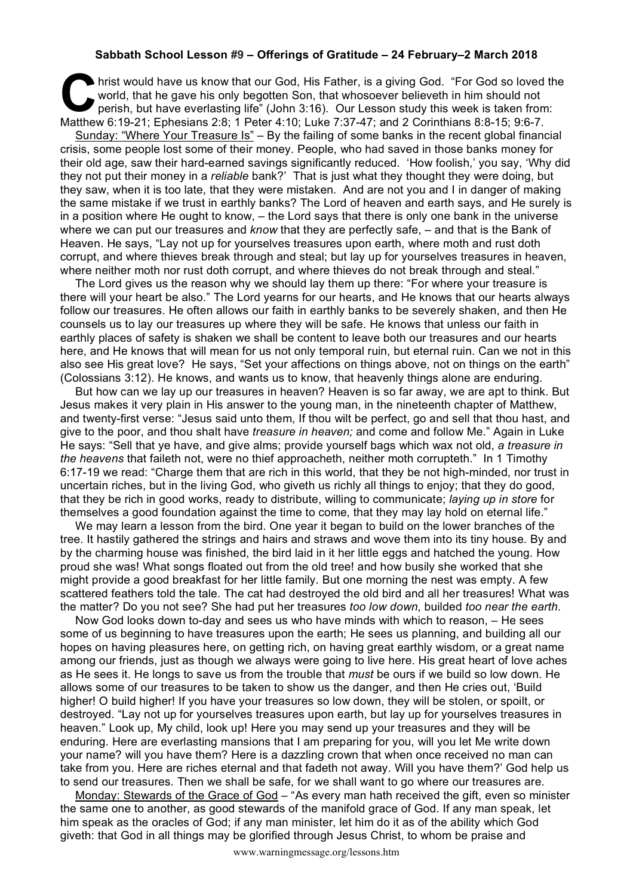## **Sabbath School Lesson #9 – Offerings of Gratitude – 24 February–2 March 2018**

hrist would have us know that our God, His Father, is a giving God. "For God so loved the world, that he gave his only begotten Son, that whosoever believeth in him should not perish, but have everlasting life" (John 3:16) world, that he gave his only begotten Son, that whosoever believeth in him should not perish, but have everlasting life" (John 3:16). Our Lesson study this week is taken from: Matthew 6:19-21; Ephesians 2:8; 1 Peter 4:10; Luke 7:37-47; and 2 Corinthians 8:8-15; 9:6-7.

Sunday: "Where Your Treasure Is" – By the failing of some banks in the recent global financial crisis, some people lost some of their money. People, who had saved in those banks money for their old age, saw their hard-earned savings significantly reduced. 'How foolish,' you say, 'Why did they not put their money in a *reliable* bank?' That is just what they thought they were doing, but they saw, when it is too late, that they were mistaken. And are not you and I in danger of making the same mistake if we trust in earthly banks? The Lord of heaven and earth says, and He surely is in a position where He ought to know, – the Lord says that there is only one bank in the universe where we can put our treasures and *know* that they are perfectly safe, – and that is the Bank of Heaven. He says, "Lay not up for yourselves treasures upon earth, where moth and rust doth corrupt, and where thieves break through and steal; but lay up for yourselves treasures in heaven, where neither moth nor rust doth corrupt, and where thieves do not break through and steal."

The Lord gives us the reason why we should lay them up there: "For where your treasure is there will your heart be also." The Lord yearns for our hearts, and He knows that our hearts always follow our treasures. He often allows our faith in earthly banks to be severely shaken, and then He counsels us to lay our treasures up where they will be safe. He knows that unless our faith in earthly places of safety is shaken we shall be content to leave both our treasures and our hearts here, and He knows that will mean for us not only temporal ruin, but eternal ruin. Can we not in this also see His great love? He says, "Set your affections on things above, not on things on the earth" (Colossians 3:12). He knows, and wants us to know, that heavenly things alone are enduring.

But how can we lay up our treasures in heaven? Heaven is so far away, we are apt to think. But Jesus makes it very plain in His answer to the young man, in the nineteenth chapter of Matthew, and twenty-first verse: "Jesus said unto them, If thou wilt be perfect, go and sell that thou hast, and give to the poor, and thou shalt have *treasure in heaven;* and come and follow Me." Again in Luke He says: "Sell that ye have, and give alms; provide yourself bags which wax not old, *a treasure in the heavens* that faileth not, were no thief approacheth, neither moth corrupteth." In 1 Timothy 6:17-19 we read: "Charge them that are rich in this world, that they be not high-minded, nor trust in uncertain riches, but in the living God, who giveth us richly all things to enjoy; that they do good, that they be rich in good works, ready to distribute, willing to communicate; *laying up in store* for themselves a good foundation against the time to come, that they may lay hold on eternal life."

We may learn a lesson from the bird. One year it began to build on the lower branches of the tree. It hastily gathered the strings and hairs and straws and wove them into its tiny house. By and by the charming house was finished, the bird laid in it her little eggs and hatched the young. How proud she was! What songs floated out from the old tree! and how busily she worked that she might provide a good breakfast for her little family. But one morning the nest was empty. A few scattered feathers told the tale. The cat had destroyed the old bird and all her treasures! What was the matter? Do you not see? She had put her treasures *too low down*, builded *too near the earth*.

Now God looks down to-day and sees us who have minds with which to reason, – He sees some of us beginning to have treasures upon the earth; He sees us planning, and building all our hopes on having pleasures here, on getting rich, on having great earthly wisdom, or a great name among our friends, just as though we always were going to live here. His great heart of love aches as He sees it. He longs to save us from the trouble that *must* be ours if we build so low down. He allows some of our treasures to be taken to show us the danger, and then He cries out, 'Build higher! O build higher! If you have your treasures so low down, they will be stolen, or spoilt, or destroyed. "Lay not up for yourselves treasures upon earth, but lay up for yourselves treasures in heaven." Look up, My child, look up! Here you may send up your treasures and they will be enduring. Here are everlasting mansions that I am preparing for you, will you let Me write down your name? will you have them? Here is a dazzling crown that when once received no man can take from you. Here are riches eternal and that fadeth not away. Will you have them?' God help us to send our treasures. Then we shall be safe, for we shall want to go where our treasures are.

Monday: Stewards of the Grace of God – "As every man hath received the gift, even so minister the same one to another, as good stewards of the manifold grace of God. If any man speak, let him speak as the oracles of God; if any man minister, let him do it as of the ability which God giveth: that God in all things may be glorified through Jesus Christ, to whom be praise and